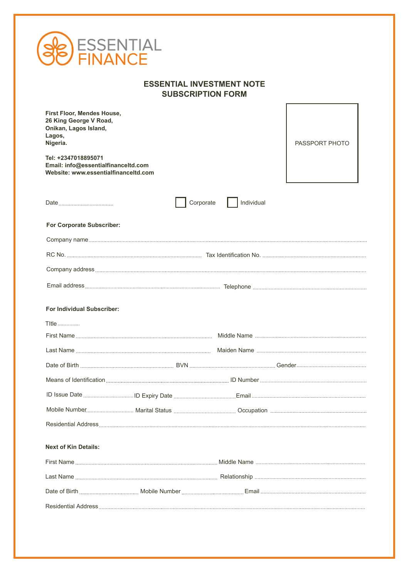| <b>ESSENTIAL<br/>FINANCE</b>                                                                                               |                                                              |                       |
|----------------------------------------------------------------------------------------------------------------------------|--------------------------------------------------------------|-----------------------|
|                                                                                                                            | <b>ESSENTIAL INVESTMENT NOTE</b><br><b>SUBSCRIPTION FORM</b> |                       |
| First Floor, Mendes House,<br>26 King George V Road,<br>Onikan, Lagos Island,<br>Lagos,<br>Nigeria.<br>Tel: +2347018895071 |                                                              | <b>PASSPORT PHOTO</b> |
| Email: info@essentialfinanceltd.com<br>Website: www.essentialfinanceltd.com                                                |                                                              |                       |
| Date <u>__________________________</u>                                                                                     | Individual<br>Corporate                                      |                       |
| For Corporate Subscriber:                                                                                                  |                                                              |                       |
|                                                                                                                            |                                                              |                       |
|                                                                                                                            |                                                              |                       |
|                                                                                                                            |                                                              |                       |
|                                                                                                                            |                                                              |                       |
| <b>For Individual Subscriber:</b>                                                                                          |                                                              |                       |
| TItle                                                                                                                      |                                                              |                       |
| First Name                                                                                                                 | Middle Name                                                  |                       |
|                                                                                                                            |                                                              |                       |
|                                                                                                                            |                                                              |                       |
|                                                                                                                            |                                                              |                       |
|                                                                                                                            |                                                              |                       |
|                                                                                                                            |                                                              |                       |
|                                                                                                                            |                                                              |                       |
| <b>Next of Kin Details:</b>                                                                                                |                                                              |                       |
|                                                                                                                            |                                                              |                       |
|                                                                                                                            |                                                              |                       |
|                                                                                                                            |                                                              |                       |
|                                                                                                                            |                                                              |                       |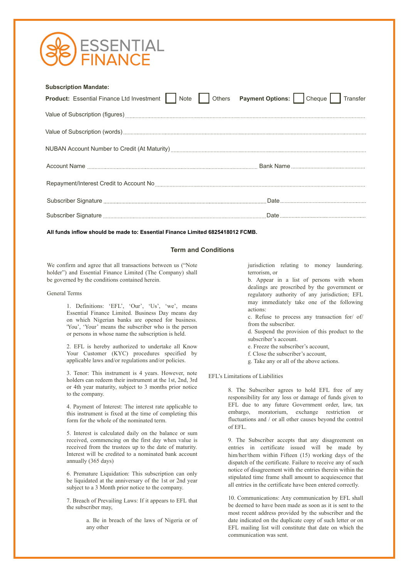

| <b>Subscription Mandate:</b><br>Product: Essential Finance Ltd Investment Note Clothers Payment Options: Cheque Transfer<br>Value of Subscription (figures) <b>Construction and Construction</b> Construction and Construction and Construction and Construction and Construction and Construction and Construction and Construction and Construction and Const |  |
|-----------------------------------------------------------------------------------------------------------------------------------------------------------------------------------------------------------------------------------------------------------------------------------------------------------------------------------------------------------------|--|
|                                                                                                                                                                                                                                                                                                                                                                 |  |
|                                                                                                                                                                                                                                                                                                                                                                 |  |
|                                                                                                                                                                                                                                                                                                                                                                 |  |

**All funds inflow should be made to: Essential Finance Limited 6825418012 FCMB.**

## **Term and Conditions**

We confirm and agree that all transactions between us ("Note holder") and Essential Finance Limited (The Company) shall be governed by the conditions contained herein.

## General Terms

1. Definitions: 'EFL', 'Our', 'Us', 'we', means Essential Finance Limited. Business Day means day on which Nigerian banks are opened for business. 'You', 'Your' means the subscriber who is the person or persons in whose name the subscription is held.

2. EFL is hereby authorized to undertake all Know Your Customer (KYC) procedures specified by applicable laws and/or regulations and/or policies.

3. Tenor: This instrument is 4 years. However, note holders can redeem their instrument at the 1st, 2nd, 3rd or 4th year maturity, subject to 3 months prior notice to the company.

4. Payment of Interest: The interest rate applicable to this instrument is fixed at the time of completing this form for the whole of the nominated term.

5. Interest is calculated daily on the balance or sum received, commencing on the first day when value is received from the trustees up to the date of maturity. Interest will be credited to a nominated bank account annually (365 days)

6. Premature Liquidation: This subscription can only be liquidated at the anniversary of the 1st or 2nd year subject to a 3 Month prior notice to the company.

7. Breach of Prevailing Laws: If it appears to EFL that the subscriber may,

> a. Be in breach of the laws of Nigeria or of any other

jurisdiction relating to money laundering. terrorism, or

b. Appear in a list of persons with whom dealings are proscribed by the government or regulatory authority of any jurisdiction; EFL may immediately take one of the following actions:

c. Refuse to process any transaction for/ of/ from the subscriber.

d. Suspend the provision of this product to the subscriber's account.

- e. Freeze the subscriber's account,
- f. Close the subscriber's account,
- g. Take any or all of the above actions.

EFL's Limitations of Liabilities

8. The Subscriber agrees to hold EFL free of any responsibility for any loss or damage of funds given to EFL due to any future Government order, law, tax embargo, moratorium, exchange restriction or fluctuations and / or all other causes beyond the control of EFL.

9. The Subscriber accepts that any disagreement on entries in certificate issued will be made by him/her/them within Fifteen (15) working days of the dispatch of the certificate. Failure to receive any of such notice of disagreement with the entries therein within the stipulated time frame shall amount to acquiescence that all entries in the certificate have been entered correctly.

10. Communications: Any communication by EFL shall be deemed to have been made as soon as it is sent to the most recent address provided by the subscriber and the date indicated on the duplicate copy of such letter or on EFL mailing list will constitute that date on which the communication was sent.